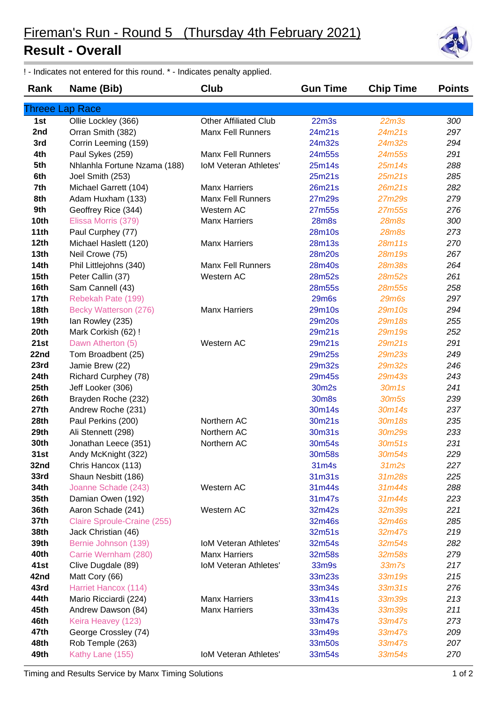## **Result - Overall**



| Rank             | Name (Bib)                   | Club                         | <b>Gun Time</b>   | <b>Chip Time</b>  | <b>Points</b> |
|------------------|------------------------------|------------------------------|-------------------|-------------------|---------------|
|                  | <b>Threee Lap Race</b>       |                              |                   |                   |               |
| 1st              | Ollie Lockley (366)          | <b>Other Affiliated Club</b> | 22 <sub>m3s</sub> | 22 <sub>m3s</sub> | 300           |
| 2nd              | Orran Smith (382)            | <b>Manx Fell Runners</b>     | 24m21s            | 24m21s            | 297           |
| 3rd              | Corrin Leeming (159)         |                              | 24m32s            | 24m32s            | 294           |
| 4th              | Paul Sykes (259)             | <b>Manx Fell Runners</b>     | 24m55s            | 24m55s            | 291           |
| 5th              | Nhlanhla Fortune Nzama (188) | IoM Veteran Athletes'        | 25m14s            | 25m14s            | 288           |
| 6th              | Joel Smith (253)             |                              | 25m21s            | 25m21s            | 285           |
| 7th              | Michael Garrett (104)        | <b>Manx Harriers</b>         | 26m21s            | 26m21s            | 282           |
| 8th              | Adam Huxham (133)            | <b>Manx Fell Runners</b>     | 27m29s            | 27m29s            | 279           |
| 9th              | Geoffrey Rice (344)          | Western AC                   | 27m55s            | 27m55s            | 276           |
| 10th             | Elissa Morris (379)          | <b>Manx Harriers</b>         | <b>28m8s</b>      | <b>28m8s</b>      | 300           |
| 11th             | Paul Curphey (77)            |                              | 28m10s            | <b>28m8s</b>      | 273           |
| 12th             | Michael Haslett (120)        | <b>Manx Harriers</b>         | 28m13s            | 28m11s            | 270           |
| 13 <sub>th</sub> | Neil Crowe (75)              |                              | 28m20s            | 28m19s            | 267           |
| <b>14th</b>      | Phil Littlejohns (340)       | <b>Manx Fell Runners</b>     | 28m40s            | <b>28m38s</b>     | 264           |
| 15 <sub>th</sub> | Peter Callin (37)            | Western AC                   | 28m52s            | 28m52s            | 261           |
| 16th             | Sam Cannell (43)             |                              | 28m55s            | 28m55s            | 258           |
| 17 <sub>th</sub> | Rebekah Pate (199)           |                              | <b>29m6s</b>      | <b>29m6s</b>      | 297           |
| 18th             | Becky Watterson (276)        | <b>Manx Harriers</b>         | 29m10s            | 29m10s            | 294           |
| 19th             | lan Rowley (235)             |                              | 29m20s            | 29m18s            | 255           |
| 20th             | Mark Corkish (62) !          |                              | 29m21s            | 29m19s            | 252           |
| 21st             | Dawn Atherton (5)            | Western AC                   | 29m21s            | 29m21s            | 291           |
| 22nd             | Tom Broadbent (25)           |                              | 29m25s            | 29m23s            | 249           |
| 23rd             | Jamie Brew (22)              |                              | 29m32s            | 29m32s            | 246           |
| 24th             | Richard Curphey (78)         |                              | 29m45s            | 29m43s            | 243           |
| 25th             | Jeff Looker (306)            |                              | 30m2s             | 30m1s             | 241           |
| 26th             | Brayden Roche (232)          |                              | 30m8s             | 30m <sub>5s</sub> | 239           |
| 27th             | Andrew Roche (231)           |                              | 30m14s            | 30m14s            | 237           |
| 28th             | Paul Perkins (200)           | Northern AC                  | 30m21s            | 30m18s            | 235           |
| 29th             | Ali Stennett (298)           | Northern AC                  | 30m31s            | 30m29s            | 233           |
| 30th             | Jonathan Leece (351)         | Northern AC                  | 30m54s            | 30m51s            | 231           |
| 31st             | Andy McKnight (322)          |                              | 30m58s            | 30m54s            | 229           |
| 32nd             | Chris Hancox (113)           |                              | 31m4s             | 31 <sub>m2s</sub> | 227           |
| 33rd             | Shaun Nesbitt (186)          |                              | 31m31s            | 31m28s            | 225           |
| 34th             | Joanne Schade (243)          | Western AC                   | 31m44s            | 31m44s            | 288           |
| 35th             | Damian Owen (192)            |                              | 31m47s            | 31m44s            | 223           |
| 36th             | Aaron Schade (241)           | Western AC                   | 32m42s            | 32m39s            | 221           |
| 37th             | Claire Sproule-Craine (255)  |                              | 32m46s            | 32m46s            | 285           |
| 38th             | Jack Christian (46)          |                              | 32m51s            | 32m47s            | 219           |
| 39th             | Bernie Johnson (139)         | <b>IoM Veteran Athletes'</b> | 32m54s            | 32m54s            | 282           |
| 40th             | Carrie Wernham (280)         | <b>Manx Harriers</b>         | 32m58s            | 32m58s            | 279           |
| 41st             | Clive Dugdale (89)           | <b>IoM Veteran Athletes'</b> | 33m9s             | 33 <sub>m</sub>   | 217           |
| 42nd             | Matt Cory (66)               |                              | 33m23s            | 33m19s            | 215           |
| 43rd             | Harriet Hancox (114)         |                              | 33m34s            | 33m31s            | 276           |
| 44th             | Mario Ricciardi (224)        | <b>Manx Harriers</b>         | 33m41s            | 33m39s            | 213           |
| 45th             | Andrew Dawson (84)           | <b>Manx Harriers</b>         | 33m43s            | 33m39s            | 211           |
| 46th             | Keira Heavey (123)           |                              | 33m47s            | 33m47s            | 273           |
| 47th             | George Crossley (74)         |                              | 33m49s            | 33m47s            | 209           |
| 48th             | Rob Temple (263)             |                              | 33m50s            | 33m47s            | 207           |
| 49th             | Kathy Lane (155)             | <b>IoM Veteran Athletes'</b> | 33m54s            | 33m54s            | 270           |
|                  |                              |                              |                   |                   |               |